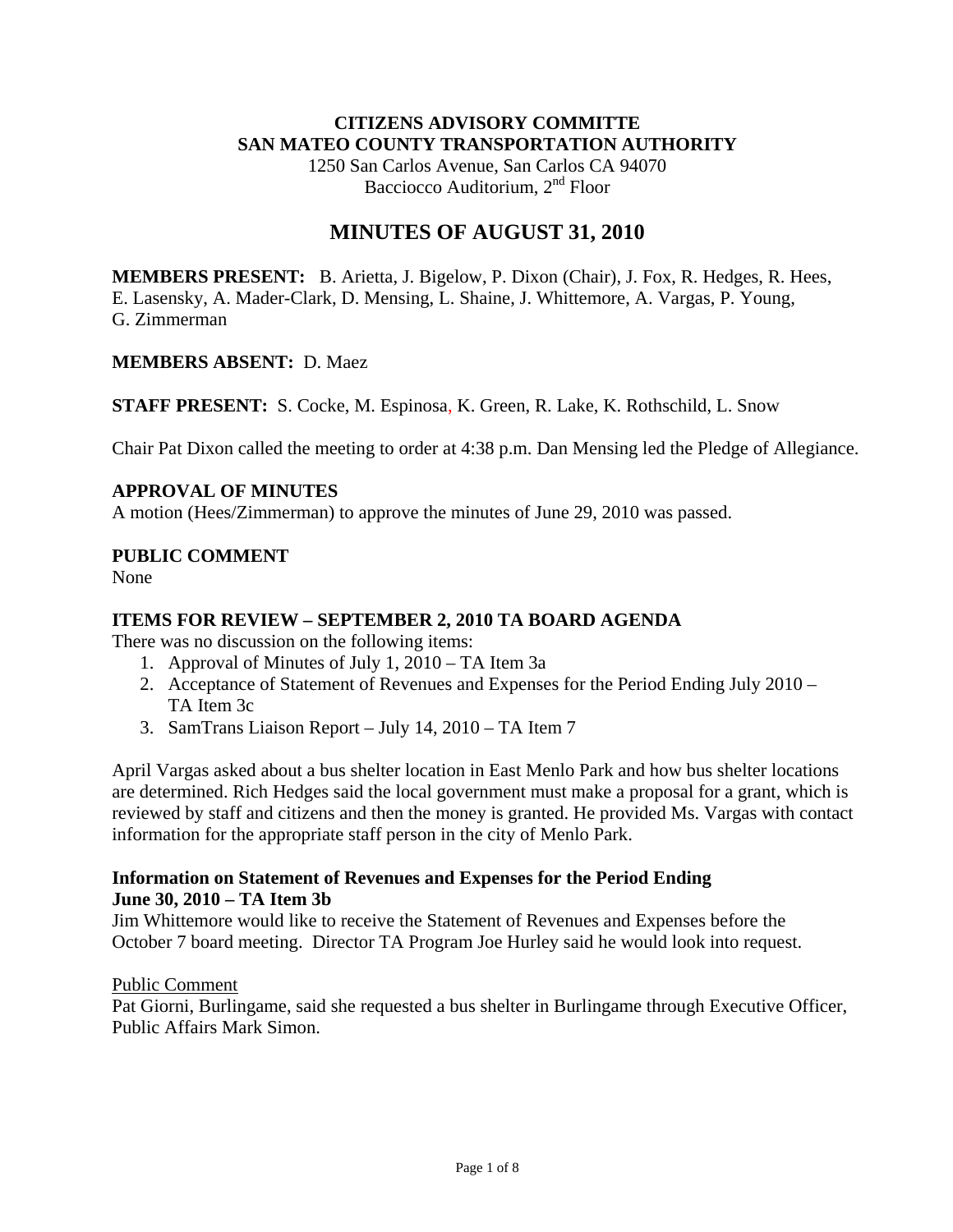## **CITIZENS ADVISORY COMMITTE SAN MATEO COUNTY TRANSPORTATION AUTHORITY**

1250 San Carlos Avenue, San Carlos CA 94070 Bacciocco Auditorium, 2<sup>nd</sup> Floor

# **MINUTES OF AUGUST 31, 2010**

**MEMBERS PRESENT:** B. Arietta, J. Bigelow, P. Dixon (Chair), J. Fox, R. Hedges, R. Hees, E. Lasensky, A. Mader-Clark, D. Mensing, L. Shaine, J. Whittemore, A. Vargas, P. Young, G. Zimmerman

#### **MEMBERS ABSENT:** D. Maez

**STAFF PRESENT:** S. Cocke, M. Espinosa, K. Green, R. Lake, K. Rothschild, L. Snow

Chair Pat Dixon called the meeting to order at 4:38 p.m. Dan Mensing led the Pledge of Allegiance.

## **APPROVAL OF MINUTES**

A motion (Hees/Zimmerman) to approve the minutes of June 29, 2010 was passed.

#### **PUBLIC COMMENT**

None

### **ITEMS FOR REVIEW – SEPTEMBER 2, 2010 TA BOARD AGENDA**

There was no discussion on the following items:

- 1. Approval of Minutes of July 1, 2010 TA Item 3a
- 2. Acceptance of Statement of Revenues and Expenses for the Period Ending July 2010 TA Item 3c
- 3. SamTrans Liaison Report July 14, 2010 TA Item 7

April Vargas asked about a bus shelter location in East Menlo Park and how bus shelter locations are determined. Rich Hedges said the local government must make a proposal for a grant, which is reviewed by staff and citizens and then the money is granted. He provided Ms. Vargas with contact information for the appropriate staff person in the city of Menlo Park.

#### **Information on Statement of Revenues and Expenses for the Period Ending June 30, 2010 – TA Item 3b**

Jim Whittemore would like to receive the Statement of Revenues and Expenses before the October 7 board meeting. Director TA Program Joe Hurley said he would look into request.

#### Public Comment

Pat Giorni, Burlingame, said she requested a bus shelter in Burlingame through Executive Officer, Public Affairs Mark Simon.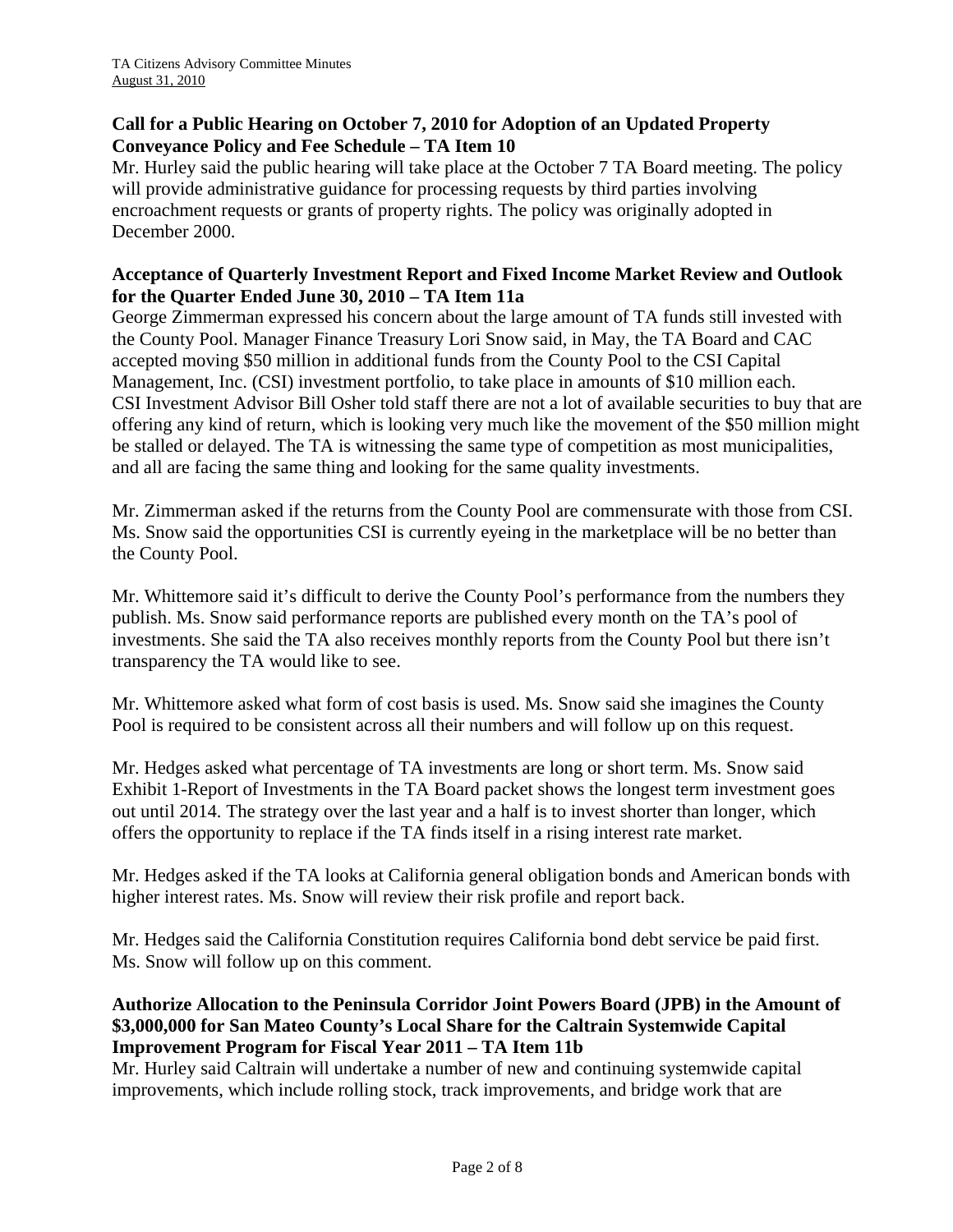### **Call for a Public Hearing on October 7, 2010 for Adoption of an Updated Property Conveyance Policy and Fee Schedule – TA Item 10**

Mr. Hurley said the public hearing will take place at the October 7 TA Board meeting. The policy will provide administrative guidance for processing requests by third parties involving encroachment requests or grants of property rights. The policy was originally adopted in December 2000.

### **Acceptance of Quarterly Investment Report and Fixed Income Market Review and Outlook for the Quarter Ended June 30, 2010 – TA Item 11a**

George Zimmerman expressed his concern about the large amount of TA funds still invested with the County Pool. Manager Finance Treasury Lori Snow said, in May, the TA Board and CAC accepted moving \$50 million in additional funds from the County Pool to the CSI Capital Management, Inc. (CSI) investment portfolio, to take place in amounts of \$10 million each. CSI Investment Advisor Bill Osher told staff there are not a lot of available securities to buy that are offering any kind of return, which is looking very much like the movement of the \$50 million might be stalled or delayed. The TA is witnessing the same type of competition as most municipalities, and all are facing the same thing and looking for the same quality investments.

Mr. Zimmerman asked if the returns from the County Pool are commensurate with those from CSI. Ms. Snow said the opportunities CSI is currently eyeing in the marketplace will be no better than the County Pool.

Mr. Whittemore said it's difficult to derive the County Pool's performance from the numbers they publish. Ms. Snow said performance reports are published every month on the TA's pool of investments. She said the TA also receives monthly reports from the County Pool but there isn't transparency the TA would like to see.

Mr. Whittemore asked what form of cost basis is used. Ms. Snow said she imagines the County Pool is required to be consistent across all their numbers and will follow up on this request.

Mr. Hedges asked what percentage of TA investments are long or short term. Ms. Snow said Exhibit 1-Report of Investments in the TA Board packet shows the longest term investment goes out until 2014. The strategy over the last year and a half is to invest shorter than longer, which offers the opportunity to replace if the TA finds itself in a rising interest rate market.

Mr. Hedges asked if the TA looks at California general obligation bonds and American bonds with higher interest rates. Ms. Snow will review their risk profile and report back.

Mr. Hedges said the California Constitution requires California bond debt service be paid first. Ms. Snow will follow up on this comment.

## **Authorize Allocation to the Peninsula Corridor Joint Powers Board (JPB) in the Amount of \$3,000,000 for San Mateo County's Local Share for the Caltrain Systemwide Capital Improvement Program for Fiscal Year 2011 – TA Item 11b**

Mr. Hurley said Caltrain will undertake a number of new and continuing systemwide capital improvements, which include rolling stock, track improvements, and bridge work that are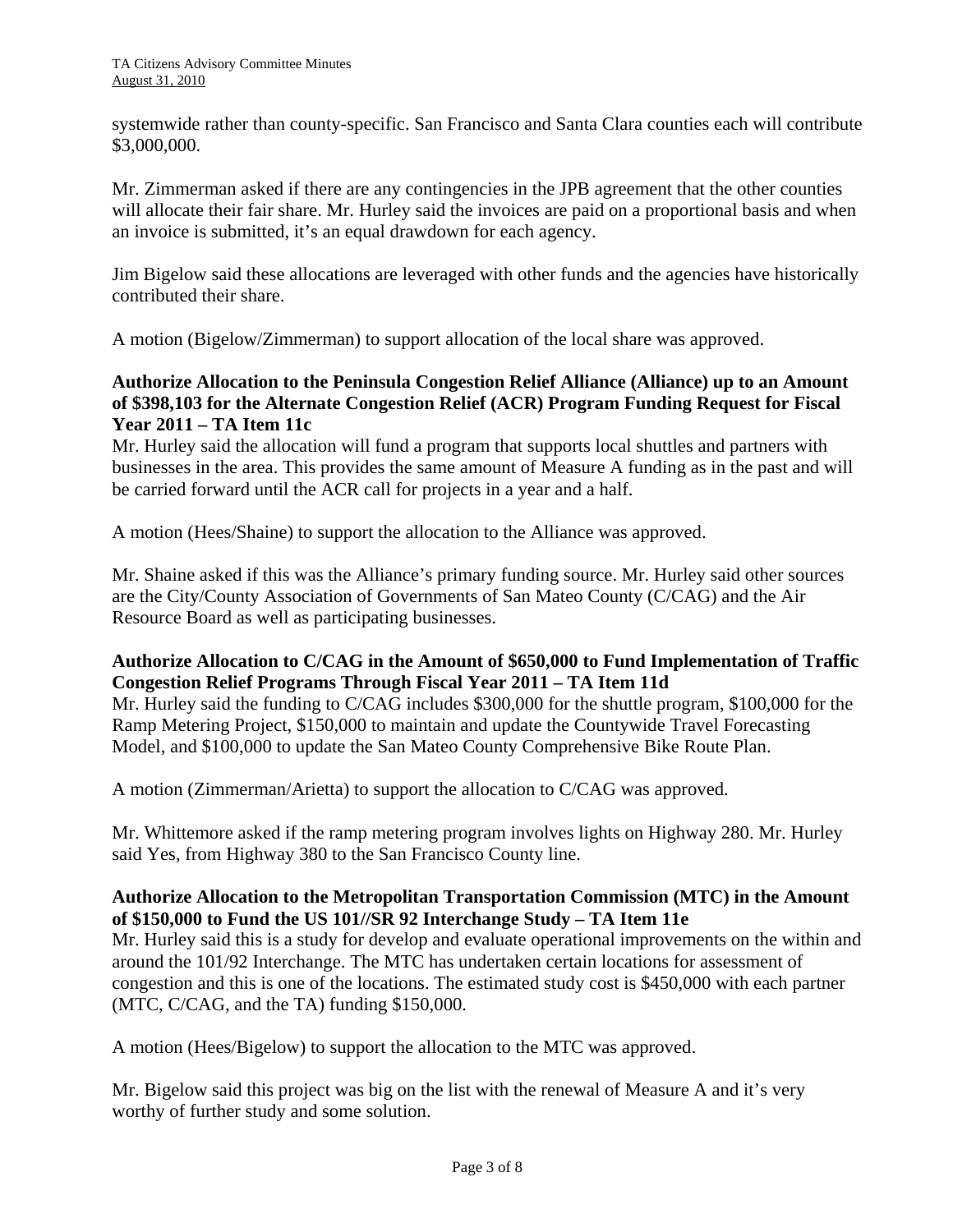systemwide rather than county-specific. San Francisco and Santa Clara counties each will contribute \$3,000,000.

Mr. Zimmerman asked if there are any contingencies in the JPB agreement that the other counties will allocate their fair share. Mr. Hurley said the invoices are paid on a proportional basis and when an invoice is submitted, it's an equal drawdown for each agency.

Jim Bigelow said these allocations are leveraged with other funds and the agencies have historically contributed their share.

A motion (Bigelow/Zimmerman) to support allocation of the local share was approved.

## **Authorize Allocation to the Peninsula Congestion Relief Alliance (Alliance) up to an Amount of \$398,103 for the Alternate Congestion Relief (ACR) Program Funding Request for Fiscal Year 2011 – TA Item 11c**

Mr. Hurley said the allocation will fund a program that supports local shuttles and partners with businesses in the area. This provides the same amount of Measure A funding as in the past and will be carried forward until the ACR call for projects in a year and a half.

A motion (Hees/Shaine) to support the allocation to the Alliance was approved.

Mr. Shaine asked if this was the Alliance's primary funding source. Mr. Hurley said other sources are the City/County Association of Governments of San Mateo County (C/CAG) and the Air Resource Board as well as participating businesses.

### **Authorize Allocation to C/CAG in the Amount of \$650,000 to Fund Implementation of Traffic Congestion Relief Programs Through Fiscal Year 2011 – TA Item 11d**

Mr. Hurley said the funding to C/CAG includes \$300,000 for the shuttle program, \$100,000 for the Ramp Metering Project, \$150,000 to maintain and update the Countywide Travel Forecasting Model, and \$100,000 to update the San Mateo County Comprehensive Bike Route Plan.

A motion (Zimmerman/Arietta) to support the allocation to C/CAG was approved.

Mr. Whittemore asked if the ramp metering program involves lights on Highway 280. Mr. Hurley said Yes, from Highway 380 to the San Francisco County line.

## **Authorize Allocation to the Metropolitan Transportation Commission (MTC) in the Amount of \$150,000 to Fund the US 101//SR 92 Interchange Study – TA Item 11e**

Mr. Hurley said this is a study for develop and evaluate operational improvements on the within and around the 101/92 Interchange. The MTC has undertaken certain locations for assessment of congestion and this is one of the locations. The estimated study cost is \$450,000 with each partner (MTC, C/CAG, and the TA) funding \$150,000.

A motion (Hees/Bigelow) to support the allocation to the MTC was approved.

Mr. Bigelow said this project was big on the list with the renewal of Measure A and it's very worthy of further study and some solution.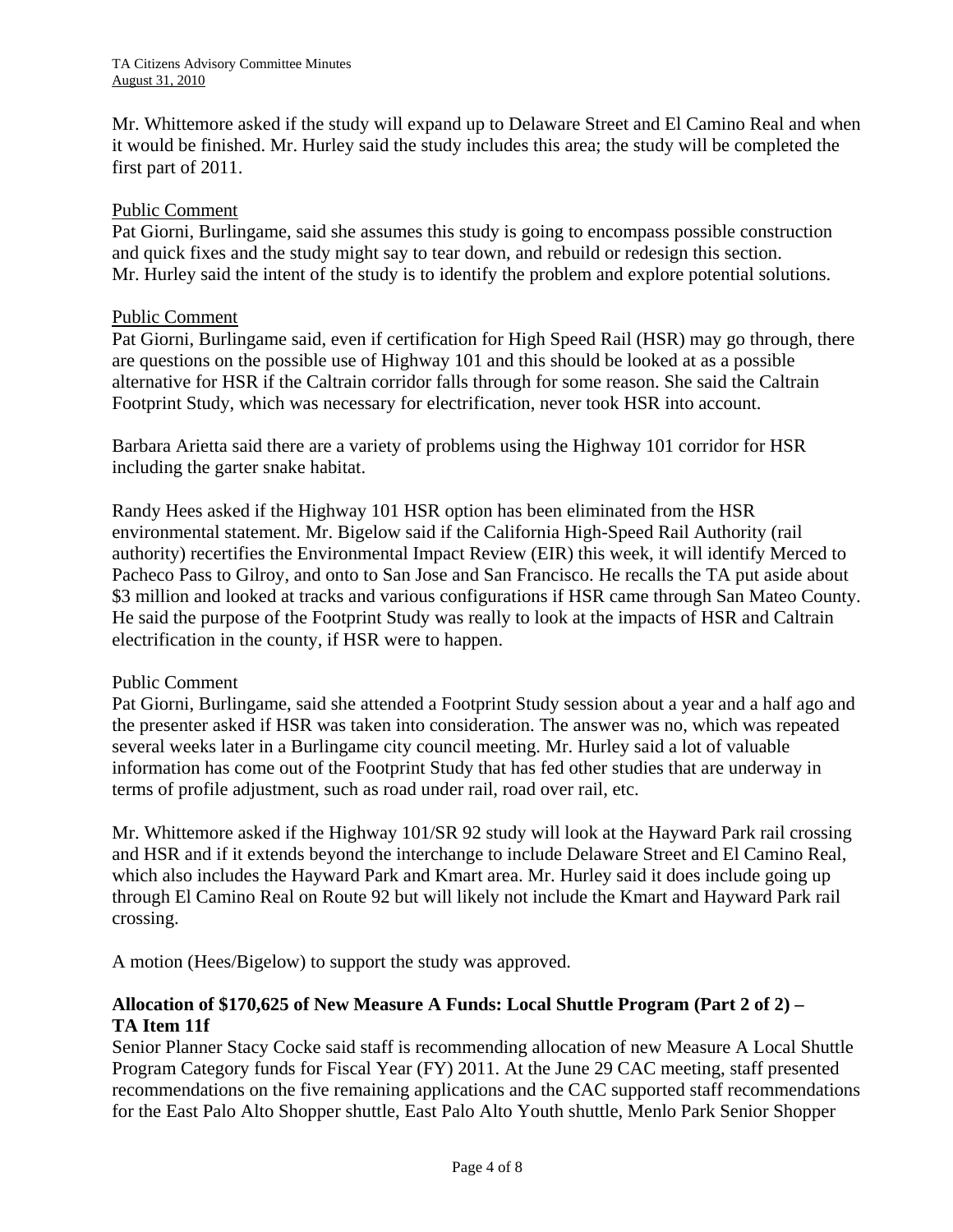Mr. Whittemore asked if the study will expand up to Delaware Street and El Camino Real and when it would be finished. Mr. Hurley said the study includes this area; the study will be completed the first part of 2011.

### Public Comment

Pat Giorni, Burlingame, said she assumes this study is going to encompass possible construction and quick fixes and the study might say to tear down, and rebuild or redesign this section. Mr. Hurley said the intent of the study is to identify the problem and explore potential solutions.

#### Public Comment

Pat Giorni, Burlingame said, even if certification for High Speed Rail (HSR) may go through, there are questions on the possible use of Highway 101 and this should be looked at as a possible alternative for HSR if the Caltrain corridor falls through for some reason. She said the Caltrain Footprint Study, which was necessary for electrification, never took HSR into account.

Barbara Arietta said there are a variety of problems using the Highway 101 corridor for HSR including the garter snake habitat.

Randy Hees asked if the Highway 101 HSR option has been eliminated from the HSR environmental statement. Mr. Bigelow said if the California High-Speed Rail Authority (rail authority) recertifies the Environmental Impact Review (EIR) this week, it will identify Merced to Pacheco Pass to Gilroy, and onto to San Jose and San Francisco. He recalls the TA put aside about \$3 million and looked at tracks and various configurations if HSR came through San Mateo County. He said the purpose of the Footprint Study was really to look at the impacts of HSR and Caltrain electrification in the county, if HSR were to happen.

### Public Comment

Pat Giorni, Burlingame, said she attended a Footprint Study session about a year and a half ago and the presenter asked if HSR was taken into consideration. The answer was no, which was repeated several weeks later in a Burlingame city council meeting. Mr. Hurley said a lot of valuable information has come out of the Footprint Study that has fed other studies that are underway in terms of profile adjustment, such as road under rail, road over rail, etc.

Mr. Whittemore asked if the Highway 101/SR 92 study will look at the Hayward Park rail crossing and HSR and if it extends beyond the interchange to include Delaware Street and El Camino Real, which also includes the Hayward Park and Kmart area. Mr. Hurley said it does include going up through El Camino Real on Route 92 but will likely not include the Kmart and Hayward Park rail crossing.

A motion (Hees/Bigelow) to support the study was approved.

## **Allocation of \$170,625 of New Measure A Funds: Local Shuttle Program (Part 2 of 2) – TA Item 11f**

Senior Planner Stacy Cocke said staff is recommending allocation of new Measure A Local Shuttle Program Category funds for Fiscal Year (FY) 2011. At the June 29 CAC meeting, staff presented recommendations on the five remaining applications and the CAC supported staff recommendations for the East Palo Alto Shopper shuttle, East Palo Alto Youth shuttle, Menlo Park Senior Shopper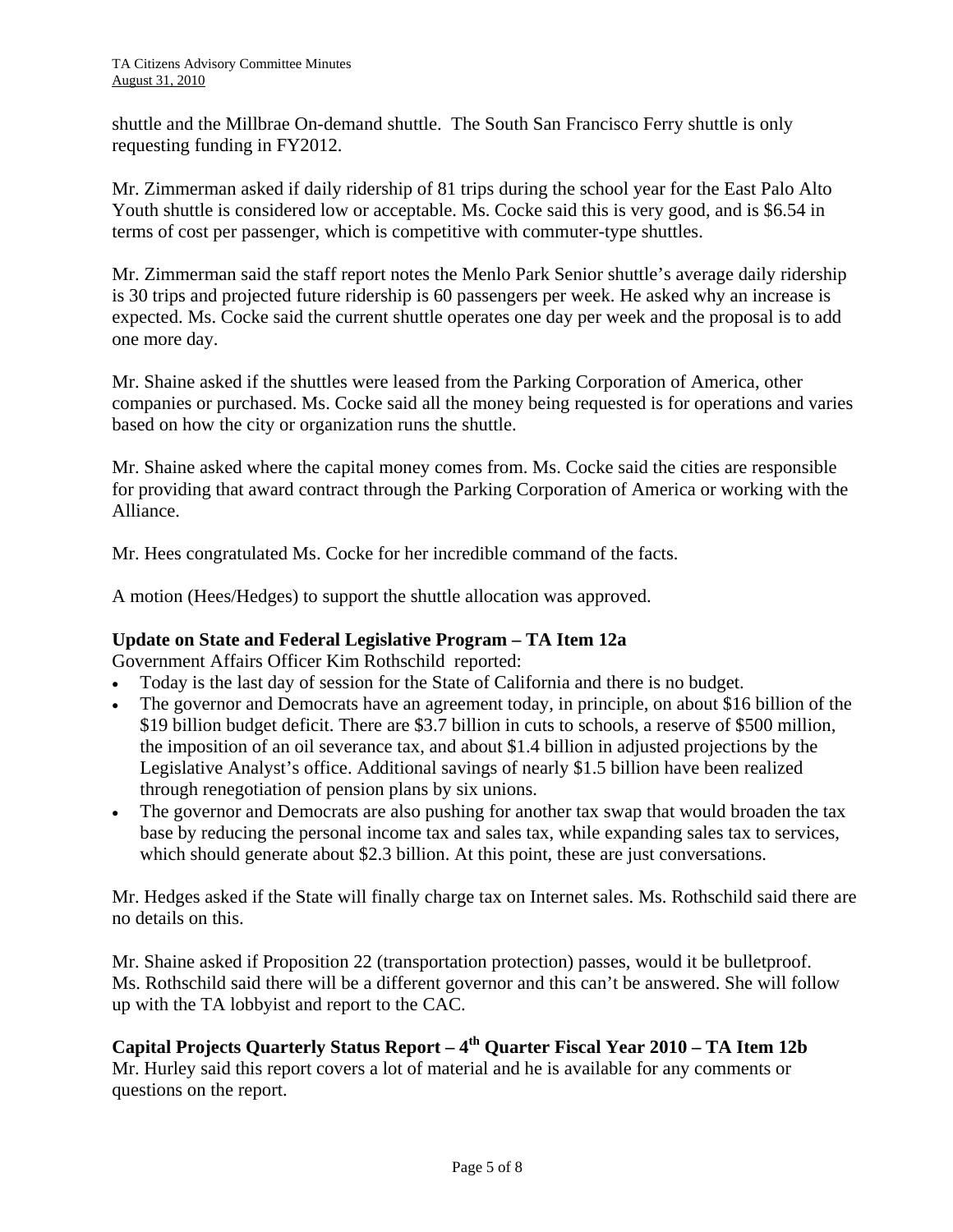shuttle and the Millbrae On-demand shuttle. The South San Francisco Ferry shuttle is only requesting funding in FY2012.

Mr. Zimmerman asked if daily ridership of 81 trips during the school year for the East Palo Alto Youth shuttle is considered low or acceptable. Ms. Cocke said this is very good, and is \$6.54 in terms of cost per passenger, which is competitive with commuter-type shuttles.

Mr. Zimmerman said the staff report notes the Menlo Park Senior shuttle's average daily ridership is 30 trips and projected future ridership is 60 passengers per week. He asked why an increase is expected. Ms. Cocke said the current shuttle operates one day per week and the proposal is to add one more day.

Mr. Shaine asked if the shuttles were leased from the Parking Corporation of America, other companies or purchased. Ms. Cocke said all the money being requested is for operations and varies based on how the city or organization runs the shuttle.

Mr. Shaine asked where the capital money comes from. Ms. Cocke said the cities are responsible for providing that award contract through the Parking Corporation of America or working with the Alliance.

Mr. Hees congratulated Ms. Cocke for her incredible command of the facts.

A motion (Hees/Hedges) to support the shuttle allocation was approved.

## **Update on State and Federal Legislative Program – TA Item 12a**

Government Affairs Officer Kim Rothschild reported:

- Today is the last day of session for the State of California and there is no budget.
- The governor and Democrats have an agreement today, in principle, on about \$16 billion of the \$19 billion budget deficit. There are \$3.7 billion in cuts to schools, a reserve of \$500 million, the imposition of an oil severance tax, and about \$1.4 billion in adjusted projections by the Legislative Analyst's office. Additional savings of nearly \$1.5 billion have been realized through renegotiation of pension plans by six unions.
- The governor and Democrats are also pushing for another tax swap that would broaden the tax base by reducing the personal income tax and sales tax, while expanding sales tax to services, which should generate about \$2.3 billion. At this point, these are just conversations.

Mr. Hedges asked if the State will finally charge tax on Internet sales. Ms. Rothschild said there are no details on this.

Mr. Shaine asked if Proposition 22 (transportation protection) passes, would it be bulletproof. Ms. Rothschild said there will be a different governor and this can't be answered. She will follow up with the TA lobbyist and report to the CAC.

**Capital Projects Quarterly Status Report – 4th Quarter Fiscal Year 2010 – TA Item 12b**  Mr. Hurley said this report covers a lot of material and he is available for any comments or questions on the report.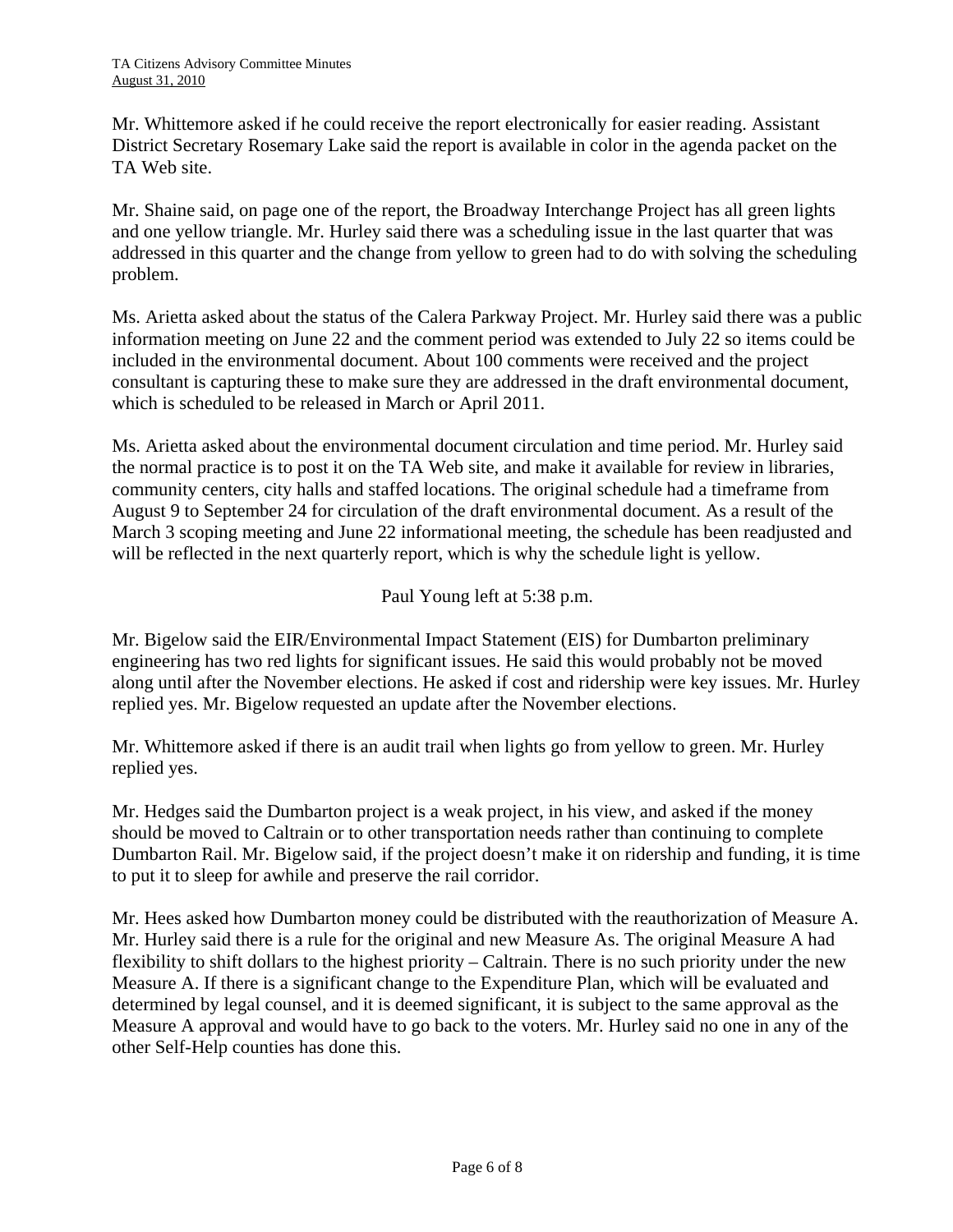Mr. Whittemore asked if he could receive the report electronically for easier reading. Assistant District Secretary Rosemary Lake said the report is available in color in the agenda packet on the TA Web site.

Mr. Shaine said, on page one of the report, the Broadway Interchange Project has all green lights and one yellow triangle. Mr. Hurley said there was a scheduling issue in the last quarter that was addressed in this quarter and the change from yellow to green had to do with solving the scheduling problem.

Ms. Arietta asked about the status of the Calera Parkway Project. Mr. Hurley said there was a public information meeting on June 22 and the comment period was extended to July 22 so items could be included in the environmental document. About 100 comments were received and the project consultant is capturing these to make sure they are addressed in the draft environmental document, which is scheduled to be released in March or April 2011.

Ms. Arietta asked about the environmental document circulation and time period. Mr. Hurley said the normal practice is to post it on the TA Web site, and make it available for review in libraries, community centers, city halls and staffed locations. The original schedule had a timeframe from August 9 to September 24 for circulation of the draft environmental document. As a result of the March 3 scoping meeting and June 22 informational meeting, the schedule has been readjusted and will be reflected in the next quarterly report, which is why the schedule light is yellow.

Paul Young left at 5:38 p.m.

Mr. Bigelow said the EIR/Environmental Impact Statement (EIS) for Dumbarton preliminary engineering has two red lights for significant issues. He said this would probably not be moved along until after the November elections. He asked if cost and ridership were key issues. Mr. Hurley replied yes. Mr. Bigelow requested an update after the November elections.

Mr. Whittemore asked if there is an audit trail when lights go from yellow to green. Mr. Hurley replied yes.

Mr. Hedges said the Dumbarton project is a weak project, in his view, and asked if the money should be moved to Caltrain or to other transportation needs rather than continuing to complete Dumbarton Rail. Mr. Bigelow said, if the project doesn't make it on ridership and funding, it is time to put it to sleep for awhile and preserve the rail corridor.

Mr. Hees asked how Dumbarton money could be distributed with the reauthorization of Measure A. Mr. Hurley said there is a rule for the original and new Measure As. The original Measure A had flexibility to shift dollars to the highest priority – Caltrain. There is no such priority under the new Measure A. If there is a significant change to the Expenditure Plan, which will be evaluated and determined by legal counsel, and it is deemed significant, it is subject to the same approval as the Measure A approval and would have to go back to the voters. Mr. Hurley said no one in any of the other Self-Help counties has done this.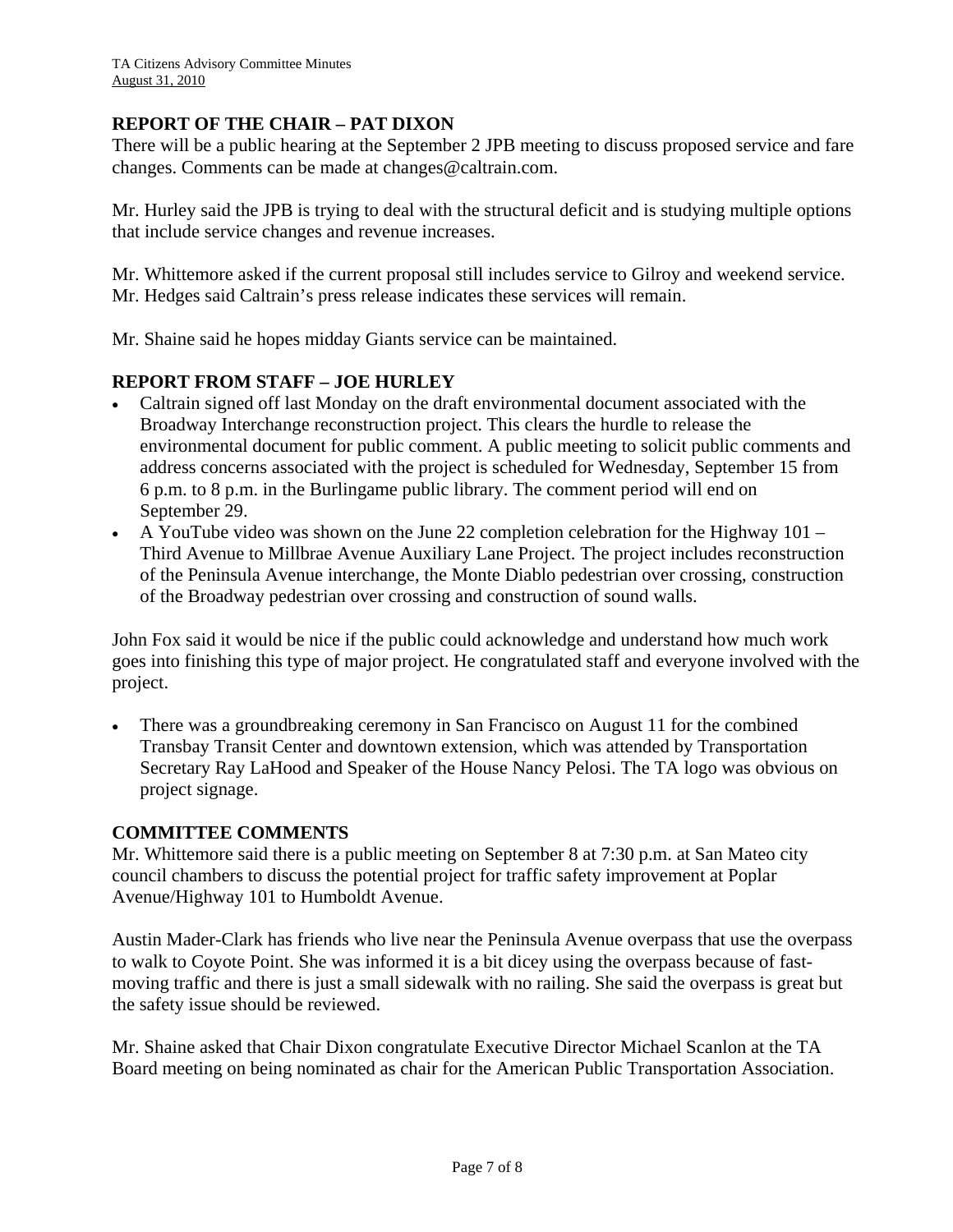## **REPORT OF THE CHAIR – PAT DIXON**

There will be a public hearing at the September 2 JPB meeting to discuss proposed service and fare changes. Comments can be made at [changes@caltrain.com.](mailto:changes@caltrain.com)

Mr. Hurley said the JPB is trying to deal with the structural deficit and is studying multiple options that include service changes and revenue increases.

Mr. Whittemore asked if the current proposal still includes service to Gilroy and weekend service. Mr. Hedges said Caltrain's press release indicates these services will remain.

Mr. Shaine said he hopes midday Giants service can be maintained.

### **REPORT FROM STAFF – JOE HURLEY**

- Caltrain signed off last Monday on the draft environmental document associated with the Broadway Interchange reconstruction project. This clears the hurdle to release the environmental document for public comment. A public meeting to solicit public comments and address concerns associated with the project is scheduled for Wednesday, September 15 from 6 p.m. to 8 p.m. in the Burlingame public library. The comment period will end on September 29.
- A YouTube video was shown on the June 22 completion celebration for the Highway  $101 -$ Third Avenue to Millbrae Avenue Auxiliary Lane Project. The project includes reconstruction of the Peninsula Avenue interchange, the Monte Diablo pedestrian over crossing, construction of the Broadway pedestrian over crossing and construction of sound walls.

John Fox said it would be nice if the public could acknowledge and understand how much work goes into finishing this type of major project. He congratulated staff and everyone involved with the project.

• There was a groundbreaking ceremony in San Francisco on August 11 for the combined Transbay Transit Center and downtown extension, which was attended by Transportation Secretary Ray LaHood and Speaker of the House Nancy Pelosi. The TA logo was obvious on project signage.

### **COMMITTEE COMMENTS**

Mr. Whittemore said there is a public meeting on September 8 at 7:30 p.m. at San Mateo city council chambers to discuss the potential project for traffic safety improvement at Poplar Avenue/Highway 101 to Humboldt Avenue.

Austin Mader-Clark has friends who live near the Peninsula Avenue overpass that use the overpass to walk to Coyote Point. She was informed it is a bit dicey using the overpass because of fastmoving traffic and there is just a small sidewalk with no railing. She said the overpass is great but the safety issue should be reviewed.

Mr. Shaine asked that Chair Dixon congratulate Executive Director Michael Scanlon at the TA Board meeting on being nominated as chair for the American Public Transportation Association.